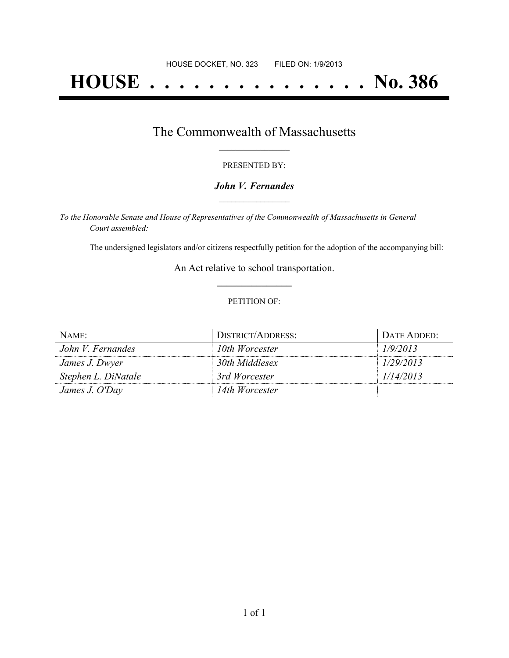# **HOUSE . . . . . . . . . . . . . . . No. 386**

## The Commonwealth of Massachusetts **\_\_\_\_\_\_\_\_\_\_\_\_\_\_\_\_\_**

#### PRESENTED BY:

#### *John V. Fernandes* **\_\_\_\_\_\_\_\_\_\_\_\_\_\_\_\_\_**

*To the Honorable Senate and House of Representatives of the Commonwealth of Massachusetts in General Court assembled:*

The undersigned legislators and/or citizens respectfully petition for the adoption of the accompanying bill:

An Act relative to school transportation. **\_\_\_\_\_\_\_\_\_\_\_\_\_\_\_**

#### PETITION OF:

| NAME:               | <b>DISTRICT/ADDRESS:</b> | DATE ADDED: |
|---------------------|--------------------------|-------------|
| John V. Fernandes   | 10th Worcester           | 1/9/2013    |
| James J. Dwyer      | 30th Middlesex           | 1/29/2013   |
| Stephen L. DiNatale | 3rd Worcester            | 1/14/2013   |
| James J. O'Day      | 14th Worcester           |             |